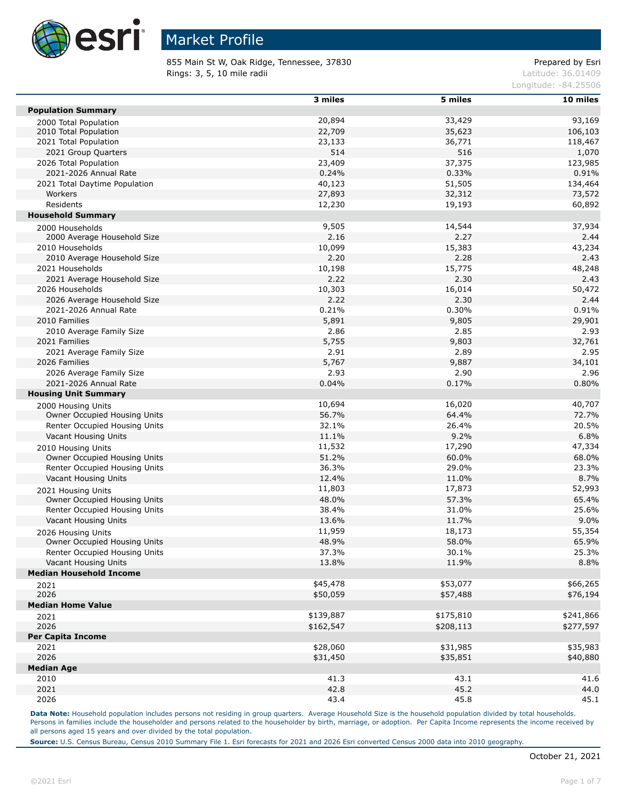

855 Main St W, Oak Ridge, Tennessee, 37830 extending the prepared by Esri **Rings: 3, 5, 10 mile radii**  $\blacksquare$  **Rings: 3, 5, 10 mile radii**  $\blacksquare$ 

Longitude: -84.25506

|                                | 3 miles   | 5 miles   | 10 miles       |
|--------------------------------|-----------|-----------|----------------|
| <b>Population Summary</b>      |           |           |                |
| 2000 Total Population          | 20,894    | 33,429    | 93,169         |
| 2010 Total Population          | 22,709    | 35,623    | 106,103        |
| 2021 Total Population          | 23,133    | 36,771    | 118,467        |
| 2021 Group Quarters            | 514       | 516       | 1,070          |
| 2026 Total Population          | 23,409    | 37,375    | 123,985        |
| 2021-2026 Annual Rate          | 0.24%     | 0.33%     | 0.91%          |
| 2021 Total Daytime Population  | 40,123    | 51,505    | 134,464        |
| Workers                        | 27,893    | 32,312    | 73,572         |
| Residents                      | 12,230    | 19,193    | 60,892         |
| <b>Household Summary</b>       |           |           |                |
| 2000 Households                | 9,505     | 14,544    | 37,934         |
| 2000 Average Household Size    | 2.16      | 2.27      | 2.44           |
| 2010 Households                | 10,099    | 15,383    | 43,234         |
| 2010 Average Household Size    | 2.20      | 2.28      | 2.43           |
| 2021 Households                | 10,198    | 15,775    | 48,248         |
| 2021 Average Household Size    | 2.22      | 2.30      | 2.43           |
| 2026 Households                | 10,303    | 16,014    | 50,472         |
| 2026 Average Household Size    | 2.22      | 2.30      | 2.44           |
| 2021-2026 Annual Rate          | 0.21%     | 0.30%     | 0.91%          |
| 2010 Families                  | 5,891     | 9,805     | 29,901         |
| 2010 Average Family Size       | 2.86      | 2.85      | 2.93           |
| 2021 Families                  | 5,755     | 9,803     | 32,761         |
| 2021 Average Family Size       | 2.91      | 2.89      | 2.95           |
| 2026 Families                  | 5,767     | 9,887     |                |
| 2026 Average Family Size       | 2.93      | 2.90      | 34,101<br>2.96 |
|                                |           |           |                |
| 2021-2026 Annual Rate          | 0.04%     | 0.17%     | 0.80%          |
| <b>Housing Unit Summary</b>    |           |           |                |
| 2000 Housing Units             | 10,694    | 16,020    | 40,707         |
| Owner Occupied Housing Units   | 56.7%     | 64.4%     | 72.7%          |
| Renter Occupied Housing Units  | 32.1%     | 26.4%     | 20.5%          |
| Vacant Housing Units           | 11.1%     | 9.2%      | 6.8%           |
| 2010 Housing Units             | 11,532    | 17,290    | 47,334         |
| Owner Occupied Housing Units   | 51.2%     | 60.0%     | 68.0%          |
| Renter Occupied Housing Units  | 36.3%     | 29.0%     | 23.3%          |
| Vacant Housing Units           | 12.4%     | 11.0%     | 8.7%           |
| 2021 Housing Units             | 11,803    | 17,873    | 52,993         |
| Owner Occupied Housing Units   | 48.0%     | 57.3%     | 65.4%          |
| Renter Occupied Housing Units  | 38.4%     | 31.0%     | 25.6%          |
| Vacant Housing Units           | 13.6%     | 11.7%     | 9.0%           |
| 2026 Housing Units             | 11,959    | 18,173    | 55,354         |
| Owner Occupied Housing Units   | 48.9%     | 58.0%     | 65.9%          |
| Renter Occupied Housing Units  | 37.3%     | 30.1%     | 25.3%          |
| Vacant Housing Units           | 13.8%     | 11.9%     | 8.8%           |
| <b>Median Household Income</b> |           |           |                |
| 2021                           | \$45,478  | \$53,077  | \$66,265       |
| 2026                           | \$50,059  | \$57,488  | \$76,194       |
| <b>Median Home Value</b>       |           |           |                |
| 2021                           | \$139,887 | \$175,810 | \$241,866      |
| 2026                           | \$162,547 | \$208,113 | \$277,597      |
| <b>Per Capita Income</b>       |           |           |                |
| 2021                           | \$28,060  | \$31,985  | \$35,983       |
| 2026                           | \$31,450  | \$35,851  | \$40,880       |
| <b>Median Age</b>              |           |           |                |
| 2010                           | 41.3      | 43.1      | 41.6           |
| 2021                           | 42.8      | 45.2      | 44.0           |
|                                |           |           |                |
| 2026                           | 43.4      | 45.8      | 45.1           |

Data Note: Household population includes persons not residing in group quarters. Average Household Size is the household population divided by total households. Persons in families include the householder and persons related to the householder by birth, marriage, or adoption. Per Capita Income represents the income received by all persons aged 15 years and over divided by the total population.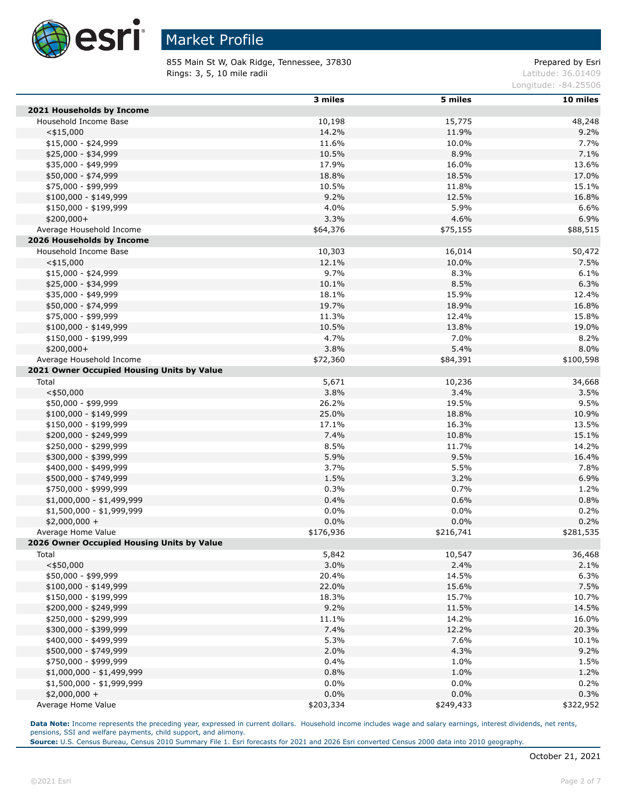

855 Main St W, Oak Ridge, Tennessee, 37830 extending the prepared by Esri **Rings: 3, 5, 10 mile radii**  $\blacksquare$  **Rings: 3, 5, 10 mile radii**  $\blacksquare$ 

Longitude: -84.25506

|                                                        | 3 miles   | 5 miles           | 10 miles     |
|--------------------------------------------------------|-----------|-------------------|--------------|
| 2021 Households by Income                              |           |                   |              |
| Household Income Base                                  | 10,198    | 15,775            | 48,248       |
| $<$ \$15,000                                           | 14.2%     | 11.9%             | 9.2%         |
| $$15,000 - $24,999$                                    | 11.6%     | 10.0%             | 7.7%         |
| \$25,000 - \$34,999                                    | 10.5%     | 8.9%              | 7.1%         |
| \$35,000 - \$49,999                                    | 17.9%     | 16.0%             | 13.6%        |
| \$50,000 - \$74,999                                    | 18.8%     | 18.5%             | 17.0%        |
| \$75,000 - \$99,999                                    | 10.5%     | 11.8%             | 15.1%        |
| $$100,000 - $149,999$                                  | 9.2%      | 12.5%             | 16.8%        |
| \$150,000 - \$199,999                                  | 4.0%      | 5.9%              | 6.6%         |
| \$200,000+                                             | 3.3%      | 4.6%              | 6.9%         |
| Average Household Income                               | \$64,376  | \$75,155          | \$88,515     |
| 2026 Households by Income                              |           |                   |              |
| Household Income Base                                  | 10,303    | 16,014            | 50,472       |
| $<$ \$15,000                                           | 12.1%     | 10.0%             | 7.5%         |
| $$15,000 - $24,999$                                    | 9.7%      | 8.3%              | 6.1%         |
| \$25,000 - \$34,999                                    | 10.1%     | 8.5%              | 6.3%         |
| $$35,000 - $49,999$                                    | 18.1%     | 15.9%             | 12.4%        |
| \$50,000 - \$74,999                                    | 19.7%     | 18.9%             | 16.8%        |
| \$75,000 - \$99,999                                    | 11.3%     | 12.4%             | 15.8%        |
| \$100,000 - \$149,999                                  | 10.5%     | 13.8%             | 19.0%        |
| \$150,000 - \$199,999                                  | 4.7%      | 7.0%              | 8.2%         |
| \$200,000+                                             | 3.8%      | 5.4%              | 8.0%         |
| Average Household Income                               | \$72,360  | \$84,391          | \$100,598    |
| 2021 Owner Occupied Housing Units by Value             |           |                   |              |
| Total                                                  | 5,671     | 10,236            | 34,668       |
| $<$ \$50,000                                           | 3.8%      | 3.4%              | 3.5%         |
| \$50,000 - \$99,999                                    | 26.2%     | 19.5%             | 9.5%         |
| \$100,000 - \$149,999                                  | 25.0%     | 18.8%             | 10.9%        |
| \$150,000 - \$199,999                                  | 17.1%     | 16.3%             | 13.5%        |
| \$200,000 - \$249,999                                  | 7.4%      | 10.8%             | 15.1%        |
| \$250,000 - \$299,999                                  | 8.5%      | 11.7%             | 14.2%        |
| \$300,000 - \$399,999                                  | 5.9%      | 9.5%              | 16.4%        |
| \$400,000 - \$499,999                                  | 3.7%      | 5.5%              | 7.8%         |
| \$500,000 - \$749,999                                  | 1.5%      | 3.2%              | 6.9%         |
| \$750,000 - \$999,999                                  | 0.3%      | 0.7%              | 1.2%         |
| $$1,000,000 - $1,499,999$                              | 0.4%      | 0.6%              | 0.8%         |
| \$1,500,000 - \$1,999,999                              | 0.0%      | 0.0%              | 0.2%         |
| $$2,000,000 +$                                         | 0.0%      | 0.0%              | 0.2%         |
| Average Home Value                                     | \$176,936 | \$216,741         | \$281,535    |
| 2026 Owner Occupied Housing Units by Value             |           |                   |              |
| Total                                                  | 5,842     | 10,547            | 36,468       |
| $<$ \$50,000                                           | 3.0%      | 2.4%              | 2.1%         |
| \$50,000 - \$99,999                                    | 20.4%     | 14.5%             | 6.3%         |
| $$100,000 - $149,999$                                  | 22.0%     | 15.6%             | 7.5%         |
| \$150,000 - \$199,999                                  | 18.3%     | 15.7%             | 10.7%        |
| \$200,000 - \$249,999                                  | 9.2%      | 11.5%             | 14.5%        |
| \$250,000 - \$299,999                                  | 11.1%     | 14.2%             | 16.0%        |
| \$300,000 - \$399,999                                  | 7.4%      | 12.2%             | 20.3%        |
| \$400,000 - \$499,999                                  | 5.3%      | 7.6%              | 10.1%        |
| \$500,000 - \$749,999                                  | 2.0%      | 4.3%              | 9.2%         |
| \$750,000 - \$999,999                                  | 0.4%      |                   |              |
|                                                        | 0.8%      | 1.0%<br>1.0%      | 1.5%<br>1.2% |
| \$1,000,000 - \$1,499,999<br>\$1,500,000 - \$1,999,999 | 0.0%      | $0.0\%$           | 0.2%         |
|                                                        | 0.0%      |                   |              |
| $$2,000,000 +$<br>Average Home Value                   | \$203,334 | 0.0%<br>\$249,433 | 0.3%         |
|                                                        |           |                   | \$322,952    |

**Data Note:** Income represents the preceding year, expressed in current dollars. Household income includes wage and salary earnings, interest dividends, net rents, pensions, SSI and welfare payments, child support, and alimony.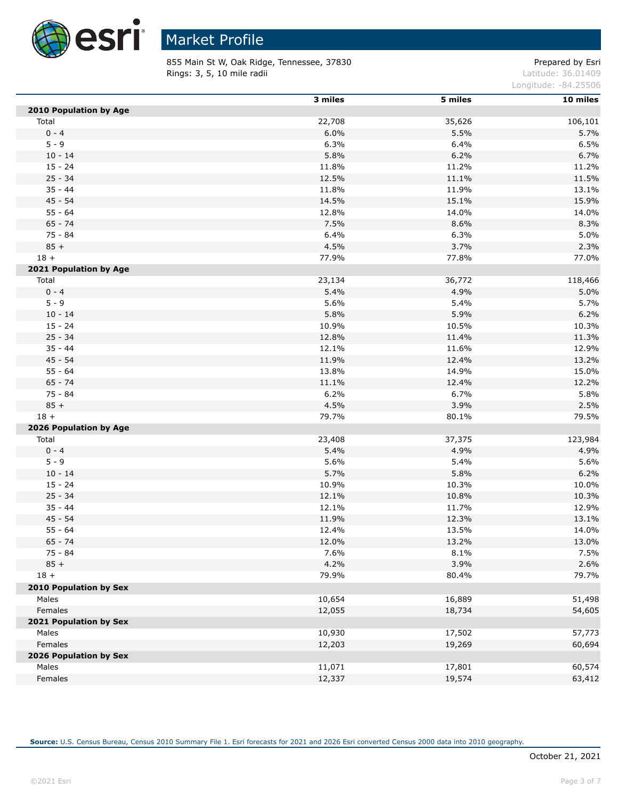

 $\overline{a}$ 

# Market Profile

855 Main St W, Oak Ridge, Tennessee, 37830 extending the prepared by Esri **Rings: 3, 5, 10 mile radii**  $\blacksquare$  **Rings: 3, 5, 10 mile radii**  $\blacksquare$ 

Longitude: -84.25506

|                        | 3 miles | 5 miles | 10 miles |
|------------------------|---------|---------|----------|
| 2010 Population by Age |         |         |          |
| Total                  | 22,708  | 35,626  | 106,101  |
| $0 - 4$                | 6.0%    | 5.5%    | 5.7%     |
| $5 - 9$                | 6.3%    | 6.4%    | 6.5%     |
| $10 - 14$              | 5.8%    | 6.2%    | 6.7%     |
| $15 - 24$              | 11.8%   | 11.2%   | 11.2%    |
| $25 - 34$              | 12.5%   | 11.1%   | 11.5%    |
| $35 - 44$              | 11.8%   | 11.9%   | 13.1%    |
| $45 - 54$              | 14.5%   | 15.1%   | 15.9%    |
| $55 - 64$              | 12.8%   | 14.0%   | 14.0%    |
| $65 - 74$              | 7.5%    | 8.6%    | 8.3%     |
| 75 - 84                | 6.4%    | 6.3%    | 5.0%     |
| $85 +$                 | 4.5%    | 3.7%    | 2.3%     |
| $18 +$                 | 77.9%   | 77.8%   | 77.0%    |
| 2021 Population by Age |         |         |          |
| Total                  | 23,134  | 36,772  | 118,466  |
| $0 - 4$                | 5.4%    | 4.9%    | 5.0%     |
| $5 - 9$                | 5.6%    | 5.4%    | 5.7%     |
| $10 - 14$              | 5.8%    | 5.9%    | 6.2%     |
| $15 - 24$              | 10.9%   | 10.5%   | 10.3%    |
| $25 - 34$              | 12.8%   | 11.4%   | 11.3%    |
| $35 - 44$              | 12.1%   | 11.6%   | 12.9%    |
| $45 - 54$              | 11.9%   | 12.4%   | 13.2%    |
| $55 - 64$              | 13.8%   | 14.9%   | 15.0%    |
| $65 - 74$              | 11.1%   | 12.4%   | 12.2%    |
| 75 - 84                | 6.2%    | 6.7%    | 5.8%     |
| $85 +$                 | 4.5%    | 3.9%    | 2.5%     |
| $18 +$                 | 79.7%   | 80.1%   | 79.5%    |
| 2026 Population by Age |         |         |          |
| Total                  | 23,408  | 37,375  | 123,984  |
| $0 - 4$                | 5.4%    | 4.9%    | 4.9%     |
| $5 - 9$                | 5.6%    | 5.4%    | 5.6%     |
| $10 - 14$              | 5.7%    | 5.8%    | 6.2%     |
| $15 - 24$              | 10.9%   | 10.3%   | 10.0%    |
| $25 - 34$              | 12.1%   | 10.8%   | 10.3%    |
| $35 - 44$              | 12.1%   | 11.7%   | 12.9%    |
| $45 - 54$              | 11.9%   | 12.3%   | 13.1%    |
| $55 - 64$              | 12.4%   | 13.5%   | 14.0%    |
| $65 - 74$              | 12.0%   | 13.2%   | 13.0%    |
| $75 - 84$              | 7.6%    | 8.1%    | 7.5%     |
| $85 +$                 | 4.2%    | 3.9%    | 2.6%     |
| $18 +$                 | 79.9%   | 80.4%   | 79.7%    |
|                        |         |         |          |
| 2010 Population by Sex |         |         |          |
| Males                  | 10,654  | 16,889  | 51,498   |
| Females                | 12,055  | 18,734  | 54,605   |
| 2021 Population by Sex |         |         |          |
| Males                  | 10,930  | 17,502  | 57,773   |
| Females                | 12,203  | 19,269  | 60,694   |
| 2026 Population by Sex |         |         |          |
| Males                  | 11,071  | 17,801  | 60,574   |
| Females                | 12,337  | 19,574  | 63,412   |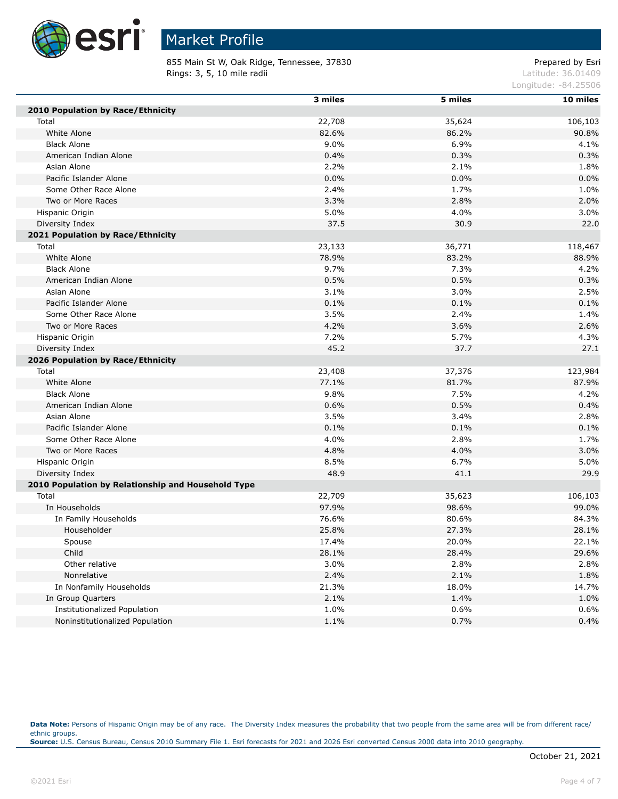

855 Main St W, Oak Ridge, Tennessee, 37830 extending the prepared by Esri **Rings: 3, 5, 10 mile radii**  $\blacksquare$  **Rings: 3, 5, 10 mile radii**  $\blacksquare$ 

Longitude: -84.25506

|                                                    | 3 miles | 5 miles | 10 miles |
|----------------------------------------------------|---------|---------|----------|
| <b>2010 Population by Race/Ethnicity</b>           |         |         |          |
| Total                                              | 22,708  | 35,624  | 106,103  |
| White Alone                                        | 82.6%   | 86.2%   | 90.8%    |
| <b>Black Alone</b>                                 | 9.0%    | 6.9%    | 4.1%     |
| American Indian Alone                              | 0.4%    | 0.3%    | 0.3%     |
| Asian Alone                                        | 2.2%    | 2.1%    | 1.8%     |
| Pacific Islander Alone                             | 0.0%    | 0.0%    | 0.0%     |
| Some Other Race Alone                              | 2.4%    | 1.7%    | 1.0%     |
| Two or More Races                                  | 3.3%    | 2.8%    | 2.0%     |
| Hispanic Origin                                    | 5.0%    | 4.0%    | 3.0%     |
| Diversity Index                                    | 37.5    | 30.9    | 22.0     |
| 2021 Population by Race/Ethnicity                  |         |         |          |
| Total                                              | 23,133  | 36,771  | 118,467  |
| White Alone                                        | 78.9%   | 83.2%   | 88.9%    |
| <b>Black Alone</b>                                 | 9.7%    | 7.3%    | 4.2%     |
| American Indian Alone                              | 0.5%    | 0.5%    | 0.3%     |
| Asian Alone                                        | 3.1%    | 3.0%    | 2.5%     |
| Pacific Islander Alone                             | 0.1%    | 0.1%    | 0.1%     |
| Some Other Race Alone                              | 3.5%    | 2.4%    | 1.4%     |
| Two or More Races                                  | 4.2%    | 3.6%    | 2.6%     |
| Hispanic Origin                                    | 7.2%    | 5.7%    | 4.3%     |
| Diversity Index                                    | 45.2    | 37.7    | 27.1     |
| 2026 Population by Race/Ethnicity                  |         |         |          |
| Total                                              | 23,408  | 37,376  | 123,984  |
| White Alone                                        | 77.1%   | 81.7%   | 87.9%    |
| <b>Black Alone</b>                                 | 9.8%    | 7.5%    | 4.2%     |
| American Indian Alone                              | 0.6%    | 0.5%    | 0.4%     |
| Asian Alone                                        | 3.5%    | 3.4%    | 2.8%     |
| Pacific Islander Alone                             | 0.1%    | 0.1%    | 0.1%     |
| Some Other Race Alone                              | 4.0%    | 2.8%    | 1.7%     |
| Two or More Races                                  | 4.8%    | 4.0%    | 3.0%     |
| Hispanic Origin                                    | 8.5%    | 6.7%    | 5.0%     |
| Diversity Index                                    | 48.9    | 41.1    | 29.9     |
| 2010 Population by Relationship and Household Type |         |         |          |
| Total                                              | 22,709  | 35,623  | 106,103  |
| In Households                                      | 97.9%   | 98.6%   | 99.0%    |
| In Family Households                               | 76.6%   | 80.6%   | 84.3%    |
| Householder                                        | 25.8%   | 27.3%   | 28.1%    |
| Spouse                                             | 17.4%   | 20.0%   | 22.1%    |
| Child                                              | 28.1%   | 28.4%   | 29.6%    |
| Other relative                                     | 3.0%    | 2.8%    | 2.8%     |
| Nonrelative                                        | 2.4%    | 2.1%    | 1.8%     |
| In Nonfamily Households                            | 21.3%   | 18.0%   | 14.7%    |
| In Group Quarters                                  | 2.1%    | 1.4%    | 1.0%     |
| Institutionalized Population                       | 1.0%    | 0.6%    | 0.6%     |
| Noninstitutionalized Population                    | 1.1%    | 0.7%    | 0.4%     |

Data Note: Persons of Hispanic Origin may be of any race. The Diversity Index measures the probability that two people from the same area will be from different race/ ethnic groups. **Source:** U.S. Census Bureau, Census 2010 Summary File 1. Esri forecasts for 2021 and 2026 Esri converted Census 2000 data into 2010 geography.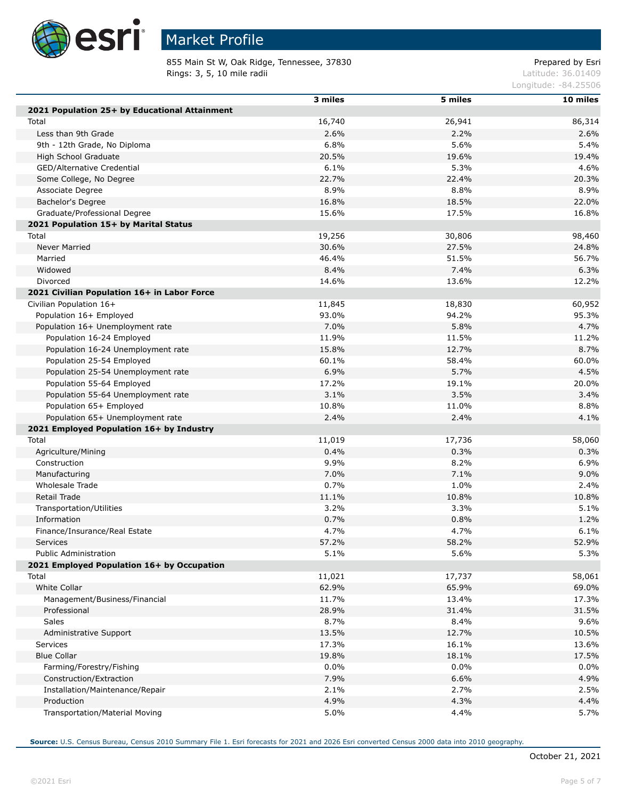

Г

Г

### Market Profile

855 Main St W, Oak Ridge, Tennessee, 37830 extending the prepared by Esri **Rings: 3, 5, 10 mile radii** Latitude: 36.01409

Longitude: -84.25506

| 2021 Population 25+ by Educational Attainment<br>16,740<br>26,941<br>86,314<br>Total<br>2.2%<br>2.6%<br>Less than 9th Grade<br>2.6%<br>6.8%<br>5.6%<br>5.4%<br>9th - 12th Grade, No Diploma<br>20.5%<br>19.6%<br>High School Graduate<br>19.4%<br>6.1%<br>GED/Alternative Credential<br>5.3%<br>4.6%<br>22.7%<br>22.4%<br>20.3%<br>Some College, No Degree<br>8.9%<br>8.8%<br>8.9%<br>Associate Degree<br>16.8%<br>18.5%<br>22.0%<br>Bachelor's Degree<br>Graduate/Professional Degree<br>15.6%<br>17.5%<br>16.8%<br>2021 Population 15+ by Marital Status<br>19,256<br>30,806<br>98,460<br>Total<br>27.5%<br>Never Married<br>30.6%<br>24.8%<br>Married<br>46.4%<br>51.5%<br>56.7%<br>8.4%<br>7.4%<br>6.3%<br>Widowed<br>Divorced<br>14.6%<br>13.6%<br>12.2%<br>2021 Civilian Population 16+ in Labor Force<br>18,830<br>Civilian Population 16+<br>11,845<br>60,952<br>Population 16+ Employed<br>93.0%<br>94.2%<br>95.3%<br>7.0%<br>5.8%<br>4.7%<br>Population 16+ Unemployment rate<br>Population 16-24 Employed<br>11.9%<br>11.5%<br>11.2%<br>15.8%<br>12.7%<br>8.7%<br>Population 16-24 Unemployment rate<br>60.1%<br>58.4%<br>Population 25-54 Employed<br>60.0%<br>5.7%<br>6.9%<br>4.5%<br>Population 25-54 Unemployment rate<br>17.2%<br>Population 55-64 Employed<br>19.1%<br>20.0%<br>3.5%<br>3.1%<br>3.4%<br>Population 55-64 Unemployment rate<br>10.8%<br>Population 65+ Employed<br>11.0%<br>8.8%<br>Population 65+ Unemployment rate<br>2.4%<br>2.4%<br>4.1%<br>2021 Employed Population 16+ by Industry<br>11,019<br>17,736<br>58,060<br>Total<br>0.4%<br>0.3%<br>0.3%<br>Agriculture/Mining<br>9.9%<br>6.9%<br>8.2%<br>Construction<br>7.0%<br>9.0%<br>7.1%<br>Manufacturing<br>0.7%<br>Wholesale Trade<br>1.0%<br>2.4%<br>Retail Trade<br>11.1%<br>10.8%<br>10.8%<br>3.2%<br>3.3%<br>5.1%<br>Transportation/Utilities<br>0.7%<br>Information<br>0.8%<br>1.2%<br>4.7%<br>4.7%<br>6.1%<br>Finance/Insurance/Real Estate<br>57.2%<br>58.2%<br>52.9%<br>Services<br>5.1%<br>5.6%<br>5.3%<br><b>Public Administration</b><br>2021 Employed Population 16+ by Occupation<br>11,021<br>17,737<br>58,061<br>Total<br>White Collar<br>62.9%<br>65.9%<br>69.0%<br>Management/Business/Financial<br>11.7%<br>13.4%<br>17.3%<br>28.9%<br>Professional<br>31.4%<br>31.5%<br>Sales<br>8.7%<br>8.4%<br>9.6%<br>13.5%<br>12.7%<br>10.5%<br>Administrative Support<br>17.3%<br><b>Services</b><br>16.1%<br>13.6%<br><b>Blue Collar</b><br>19.8%<br>18.1%<br>17.5%<br>Farming/Forestry/Fishing<br>0.0%<br>$0.0\%$<br>0.0%<br>7.9%<br>4.9%<br>Construction/Extraction<br>6.6% |                                 | 3 miles | 5 miles | 10 miles |
|-------------------------------------------------------------------------------------------------------------------------------------------------------------------------------------------------------------------------------------------------------------------------------------------------------------------------------------------------------------------------------------------------------------------------------------------------------------------------------------------------------------------------------------------------------------------------------------------------------------------------------------------------------------------------------------------------------------------------------------------------------------------------------------------------------------------------------------------------------------------------------------------------------------------------------------------------------------------------------------------------------------------------------------------------------------------------------------------------------------------------------------------------------------------------------------------------------------------------------------------------------------------------------------------------------------------------------------------------------------------------------------------------------------------------------------------------------------------------------------------------------------------------------------------------------------------------------------------------------------------------------------------------------------------------------------------------------------------------------------------------------------------------------------------------------------------------------------------------------------------------------------------------------------------------------------------------------------------------------------------------------------------------------------------------------------------------------------------------------------------------------------------------------------------------------------------------------------------------------------------------------------------------------------------------------------------------------------------------------------------------------------------------------------------------------------------------------------------------------------------------------------------------------------------------------------------------------|---------------------------------|---------|---------|----------|
|                                                                                                                                                                                                                                                                                                                                                                                                                                                                                                                                                                                                                                                                                                                                                                                                                                                                                                                                                                                                                                                                                                                                                                                                                                                                                                                                                                                                                                                                                                                                                                                                                                                                                                                                                                                                                                                                                                                                                                                                                                                                                                                                                                                                                                                                                                                                                                                                                                                                                                                                                                               |                                 |         |         |          |
|                                                                                                                                                                                                                                                                                                                                                                                                                                                                                                                                                                                                                                                                                                                                                                                                                                                                                                                                                                                                                                                                                                                                                                                                                                                                                                                                                                                                                                                                                                                                                                                                                                                                                                                                                                                                                                                                                                                                                                                                                                                                                                                                                                                                                                                                                                                                                                                                                                                                                                                                                                               |                                 |         |         |          |
|                                                                                                                                                                                                                                                                                                                                                                                                                                                                                                                                                                                                                                                                                                                                                                                                                                                                                                                                                                                                                                                                                                                                                                                                                                                                                                                                                                                                                                                                                                                                                                                                                                                                                                                                                                                                                                                                                                                                                                                                                                                                                                                                                                                                                                                                                                                                                                                                                                                                                                                                                                               |                                 |         |         |          |
|                                                                                                                                                                                                                                                                                                                                                                                                                                                                                                                                                                                                                                                                                                                                                                                                                                                                                                                                                                                                                                                                                                                                                                                                                                                                                                                                                                                                                                                                                                                                                                                                                                                                                                                                                                                                                                                                                                                                                                                                                                                                                                                                                                                                                                                                                                                                                                                                                                                                                                                                                                               |                                 |         |         |          |
|                                                                                                                                                                                                                                                                                                                                                                                                                                                                                                                                                                                                                                                                                                                                                                                                                                                                                                                                                                                                                                                                                                                                                                                                                                                                                                                                                                                                                                                                                                                                                                                                                                                                                                                                                                                                                                                                                                                                                                                                                                                                                                                                                                                                                                                                                                                                                                                                                                                                                                                                                                               |                                 |         |         |          |
|                                                                                                                                                                                                                                                                                                                                                                                                                                                                                                                                                                                                                                                                                                                                                                                                                                                                                                                                                                                                                                                                                                                                                                                                                                                                                                                                                                                                                                                                                                                                                                                                                                                                                                                                                                                                                                                                                                                                                                                                                                                                                                                                                                                                                                                                                                                                                                                                                                                                                                                                                                               |                                 |         |         |          |
|                                                                                                                                                                                                                                                                                                                                                                                                                                                                                                                                                                                                                                                                                                                                                                                                                                                                                                                                                                                                                                                                                                                                                                                                                                                                                                                                                                                                                                                                                                                                                                                                                                                                                                                                                                                                                                                                                                                                                                                                                                                                                                                                                                                                                                                                                                                                                                                                                                                                                                                                                                               |                                 |         |         |          |
|                                                                                                                                                                                                                                                                                                                                                                                                                                                                                                                                                                                                                                                                                                                                                                                                                                                                                                                                                                                                                                                                                                                                                                                                                                                                                                                                                                                                                                                                                                                                                                                                                                                                                                                                                                                                                                                                                                                                                                                                                                                                                                                                                                                                                                                                                                                                                                                                                                                                                                                                                                               |                                 |         |         |          |
|                                                                                                                                                                                                                                                                                                                                                                                                                                                                                                                                                                                                                                                                                                                                                                                                                                                                                                                                                                                                                                                                                                                                                                                                                                                                                                                                                                                                                                                                                                                                                                                                                                                                                                                                                                                                                                                                                                                                                                                                                                                                                                                                                                                                                                                                                                                                                                                                                                                                                                                                                                               |                                 |         |         |          |
|                                                                                                                                                                                                                                                                                                                                                                                                                                                                                                                                                                                                                                                                                                                                                                                                                                                                                                                                                                                                                                                                                                                                                                                                                                                                                                                                                                                                                                                                                                                                                                                                                                                                                                                                                                                                                                                                                                                                                                                                                                                                                                                                                                                                                                                                                                                                                                                                                                                                                                                                                                               |                                 |         |         |          |
|                                                                                                                                                                                                                                                                                                                                                                                                                                                                                                                                                                                                                                                                                                                                                                                                                                                                                                                                                                                                                                                                                                                                                                                                                                                                                                                                                                                                                                                                                                                                                                                                                                                                                                                                                                                                                                                                                                                                                                                                                                                                                                                                                                                                                                                                                                                                                                                                                                                                                                                                                                               |                                 |         |         |          |
|                                                                                                                                                                                                                                                                                                                                                                                                                                                                                                                                                                                                                                                                                                                                                                                                                                                                                                                                                                                                                                                                                                                                                                                                                                                                                                                                                                                                                                                                                                                                                                                                                                                                                                                                                                                                                                                                                                                                                                                                                                                                                                                                                                                                                                                                                                                                                                                                                                                                                                                                                                               |                                 |         |         |          |
|                                                                                                                                                                                                                                                                                                                                                                                                                                                                                                                                                                                                                                                                                                                                                                                                                                                                                                                                                                                                                                                                                                                                                                                                                                                                                                                                                                                                                                                                                                                                                                                                                                                                                                                                                                                                                                                                                                                                                                                                                                                                                                                                                                                                                                                                                                                                                                                                                                                                                                                                                                               |                                 |         |         |          |
|                                                                                                                                                                                                                                                                                                                                                                                                                                                                                                                                                                                                                                                                                                                                                                                                                                                                                                                                                                                                                                                                                                                                                                                                                                                                                                                                                                                                                                                                                                                                                                                                                                                                                                                                                                                                                                                                                                                                                                                                                                                                                                                                                                                                                                                                                                                                                                                                                                                                                                                                                                               |                                 |         |         |          |
|                                                                                                                                                                                                                                                                                                                                                                                                                                                                                                                                                                                                                                                                                                                                                                                                                                                                                                                                                                                                                                                                                                                                                                                                                                                                                                                                                                                                                                                                                                                                                                                                                                                                                                                                                                                                                                                                                                                                                                                                                                                                                                                                                                                                                                                                                                                                                                                                                                                                                                                                                                               |                                 |         |         |          |
|                                                                                                                                                                                                                                                                                                                                                                                                                                                                                                                                                                                                                                                                                                                                                                                                                                                                                                                                                                                                                                                                                                                                                                                                                                                                                                                                                                                                                                                                                                                                                                                                                                                                                                                                                                                                                                                                                                                                                                                                                                                                                                                                                                                                                                                                                                                                                                                                                                                                                                                                                                               |                                 |         |         |          |
|                                                                                                                                                                                                                                                                                                                                                                                                                                                                                                                                                                                                                                                                                                                                                                                                                                                                                                                                                                                                                                                                                                                                                                                                                                                                                                                                                                                                                                                                                                                                                                                                                                                                                                                                                                                                                                                                                                                                                                                                                                                                                                                                                                                                                                                                                                                                                                                                                                                                                                                                                                               |                                 |         |         |          |
|                                                                                                                                                                                                                                                                                                                                                                                                                                                                                                                                                                                                                                                                                                                                                                                                                                                                                                                                                                                                                                                                                                                                                                                                                                                                                                                                                                                                                                                                                                                                                                                                                                                                                                                                                                                                                                                                                                                                                                                                                                                                                                                                                                                                                                                                                                                                                                                                                                                                                                                                                                               |                                 |         |         |          |
|                                                                                                                                                                                                                                                                                                                                                                                                                                                                                                                                                                                                                                                                                                                                                                                                                                                                                                                                                                                                                                                                                                                                                                                                                                                                                                                                                                                                                                                                                                                                                                                                                                                                                                                                                                                                                                                                                                                                                                                                                                                                                                                                                                                                                                                                                                                                                                                                                                                                                                                                                                               |                                 |         |         |          |
|                                                                                                                                                                                                                                                                                                                                                                                                                                                                                                                                                                                                                                                                                                                                                                                                                                                                                                                                                                                                                                                                                                                                                                                                                                                                                                                                                                                                                                                                                                                                                                                                                                                                                                                                                                                                                                                                                                                                                                                                                                                                                                                                                                                                                                                                                                                                                                                                                                                                                                                                                                               |                                 |         |         |          |
|                                                                                                                                                                                                                                                                                                                                                                                                                                                                                                                                                                                                                                                                                                                                                                                                                                                                                                                                                                                                                                                                                                                                                                                                                                                                                                                                                                                                                                                                                                                                                                                                                                                                                                                                                                                                                                                                                                                                                                                                                                                                                                                                                                                                                                                                                                                                                                                                                                                                                                                                                                               |                                 |         |         |          |
|                                                                                                                                                                                                                                                                                                                                                                                                                                                                                                                                                                                                                                                                                                                                                                                                                                                                                                                                                                                                                                                                                                                                                                                                                                                                                                                                                                                                                                                                                                                                                                                                                                                                                                                                                                                                                                                                                                                                                                                                                                                                                                                                                                                                                                                                                                                                                                                                                                                                                                                                                                               |                                 |         |         |          |
|                                                                                                                                                                                                                                                                                                                                                                                                                                                                                                                                                                                                                                                                                                                                                                                                                                                                                                                                                                                                                                                                                                                                                                                                                                                                                                                                                                                                                                                                                                                                                                                                                                                                                                                                                                                                                                                                                                                                                                                                                                                                                                                                                                                                                                                                                                                                                                                                                                                                                                                                                                               |                                 |         |         |          |
|                                                                                                                                                                                                                                                                                                                                                                                                                                                                                                                                                                                                                                                                                                                                                                                                                                                                                                                                                                                                                                                                                                                                                                                                                                                                                                                                                                                                                                                                                                                                                                                                                                                                                                                                                                                                                                                                                                                                                                                                                                                                                                                                                                                                                                                                                                                                                                                                                                                                                                                                                                               |                                 |         |         |          |
|                                                                                                                                                                                                                                                                                                                                                                                                                                                                                                                                                                                                                                                                                                                                                                                                                                                                                                                                                                                                                                                                                                                                                                                                                                                                                                                                                                                                                                                                                                                                                                                                                                                                                                                                                                                                                                                                                                                                                                                                                                                                                                                                                                                                                                                                                                                                                                                                                                                                                                                                                                               |                                 |         |         |          |
|                                                                                                                                                                                                                                                                                                                                                                                                                                                                                                                                                                                                                                                                                                                                                                                                                                                                                                                                                                                                                                                                                                                                                                                                                                                                                                                                                                                                                                                                                                                                                                                                                                                                                                                                                                                                                                                                                                                                                                                                                                                                                                                                                                                                                                                                                                                                                                                                                                                                                                                                                                               |                                 |         |         |          |
|                                                                                                                                                                                                                                                                                                                                                                                                                                                                                                                                                                                                                                                                                                                                                                                                                                                                                                                                                                                                                                                                                                                                                                                                                                                                                                                                                                                                                                                                                                                                                                                                                                                                                                                                                                                                                                                                                                                                                                                                                                                                                                                                                                                                                                                                                                                                                                                                                                                                                                                                                                               |                                 |         |         |          |
|                                                                                                                                                                                                                                                                                                                                                                                                                                                                                                                                                                                                                                                                                                                                                                                                                                                                                                                                                                                                                                                                                                                                                                                                                                                                                                                                                                                                                                                                                                                                                                                                                                                                                                                                                                                                                                                                                                                                                                                                                                                                                                                                                                                                                                                                                                                                                                                                                                                                                                                                                                               |                                 |         |         |          |
|                                                                                                                                                                                                                                                                                                                                                                                                                                                                                                                                                                                                                                                                                                                                                                                                                                                                                                                                                                                                                                                                                                                                                                                                                                                                                                                                                                                                                                                                                                                                                                                                                                                                                                                                                                                                                                                                                                                                                                                                                                                                                                                                                                                                                                                                                                                                                                                                                                                                                                                                                                               |                                 |         |         |          |
|                                                                                                                                                                                                                                                                                                                                                                                                                                                                                                                                                                                                                                                                                                                                                                                                                                                                                                                                                                                                                                                                                                                                                                                                                                                                                                                                                                                                                                                                                                                                                                                                                                                                                                                                                                                                                                                                                                                                                                                                                                                                                                                                                                                                                                                                                                                                                                                                                                                                                                                                                                               |                                 |         |         |          |
|                                                                                                                                                                                                                                                                                                                                                                                                                                                                                                                                                                                                                                                                                                                                                                                                                                                                                                                                                                                                                                                                                                                                                                                                                                                                                                                                                                                                                                                                                                                                                                                                                                                                                                                                                                                                                                                                                                                                                                                                                                                                                                                                                                                                                                                                                                                                                                                                                                                                                                                                                                               |                                 |         |         |          |
|                                                                                                                                                                                                                                                                                                                                                                                                                                                                                                                                                                                                                                                                                                                                                                                                                                                                                                                                                                                                                                                                                                                                                                                                                                                                                                                                                                                                                                                                                                                                                                                                                                                                                                                                                                                                                                                                                                                                                                                                                                                                                                                                                                                                                                                                                                                                                                                                                                                                                                                                                                               |                                 |         |         |          |
|                                                                                                                                                                                                                                                                                                                                                                                                                                                                                                                                                                                                                                                                                                                                                                                                                                                                                                                                                                                                                                                                                                                                                                                                                                                                                                                                                                                                                                                                                                                                                                                                                                                                                                                                                                                                                                                                                                                                                                                                                                                                                                                                                                                                                                                                                                                                                                                                                                                                                                                                                                               |                                 |         |         |          |
|                                                                                                                                                                                                                                                                                                                                                                                                                                                                                                                                                                                                                                                                                                                                                                                                                                                                                                                                                                                                                                                                                                                                                                                                                                                                                                                                                                                                                                                                                                                                                                                                                                                                                                                                                                                                                                                                                                                                                                                                                                                                                                                                                                                                                                                                                                                                                                                                                                                                                                                                                                               |                                 |         |         |          |
|                                                                                                                                                                                                                                                                                                                                                                                                                                                                                                                                                                                                                                                                                                                                                                                                                                                                                                                                                                                                                                                                                                                                                                                                                                                                                                                                                                                                                                                                                                                                                                                                                                                                                                                                                                                                                                                                                                                                                                                                                                                                                                                                                                                                                                                                                                                                                                                                                                                                                                                                                                               |                                 |         |         |          |
|                                                                                                                                                                                                                                                                                                                                                                                                                                                                                                                                                                                                                                                                                                                                                                                                                                                                                                                                                                                                                                                                                                                                                                                                                                                                                                                                                                                                                                                                                                                                                                                                                                                                                                                                                                                                                                                                                                                                                                                                                                                                                                                                                                                                                                                                                                                                                                                                                                                                                                                                                                               |                                 |         |         |          |
|                                                                                                                                                                                                                                                                                                                                                                                                                                                                                                                                                                                                                                                                                                                                                                                                                                                                                                                                                                                                                                                                                                                                                                                                                                                                                                                                                                                                                                                                                                                                                                                                                                                                                                                                                                                                                                                                                                                                                                                                                                                                                                                                                                                                                                                                                                                                                                                                                                                                                                                                                                               |                                 |         |         |          |
|                                                                                                                                                                                                                                                                                                                                                                                                                                                                                                                                                                                                                                                                                                                                                                                                                                                                                                                                                                                                                                                                                                                                                                                                                                                                                                                                                                                                                                                                                                                                                                                                                                                                                                                                                                                                                                                                                                                                                                                                                                                                                                                                                                                                                                                                                                                                                                                                                                                                                                                                                                               |                                 |         |         |          |
|                                                                                                                                                                                                                                                                                                                                                                                                                                                                                                                                                                                                                                                                                                                                                                                                                                                                                                                                                                                                                                                                                                                                                                                                                                                                                                                                                                                                                                                                                                                                                                                                                                                                                                                                                                                                                                                                                                                                                                                                                                                                                                                                                                                                                                                                                                                                                                                                                                                                                                                                                                               |                                 |         |         |          |
|                                                                                                                                                                                                                                                                                                                                                                                                                                                                                                                                                                                                                                                                                                                                                                                                                                                                                                                                                                                                                                                                                                                                                                                                                                                                                                                                                                                                                                                                                                                                                                                                                                                                                                                                                                                                                                                                                                                                                                                                                                                                                                                                                                                                                                                                                                                                                                                                                                                                                                                                                                               |                                 |         |         |          |
|                                                                                                                                                                                                                                                                                                                                                                                                                                                                                                                                                                                                                                                                                                                                                                                                                                                                                                                                                                                                                                                                                                                                                                                                                                                                                                                                                                                                                                                                                                                                                                                                                                                                                                                                                                                                                                                                                                                                                                                                                                                                                                                                                                                                                                                                                                                                                                                                                                                                                                                                                                               |                                 |         |         |          |
|                                                                                                                                                                                                                                                                                                                                                                                                                                                                                                                                                                                                                                                                                                                                                                                                                                                                                                                                                                                                                                                                                                                                                                                                                                                                                                                                                                                                                                                                                                                                                                                                                                                                                                                                                                                                                                                                                                                                                                                                                                                                                                                                                                                                                                                                                                                                                                                                                                                                                                                                                                               |                                 |         |         |          |
|                                                                                                                                                                                                                                                                                                                                                                                                                                                                                                                                                                                                                                                                                                                                                                                                                                                                                                                                                                                                                                                                                                                                                                                                                                                                                                                                                                                                                                                                                                                                                                                                                                                                                                                                                                                                                                                                                                                                                                                                                                                                                                                                                                                                                                                                                                                                                                                                                                                                                                                                                                               |                                 |         |         |          |
|                                                                                                                                                                                                                                                                                                                                                                                                                                                                                                                                                                                                                                                                                                                                                                                                                                                                                                                                                                                                                                                                                                                                                                                                                                                                                                                                                                                                                                                                                                                                                                                                                                                                                                                                                                                                                                                                                                                                                                                                                                                                                                                                                                                                                                                                                                                                                                                                                                                                                                                                                                               |                                 |         |         |          |
|                                                                                                                                                                                                                                                                                                                                                                                                                                                                                                                                                                                                                                                                                                                                                                                                                                                                                                                                                                                                                                                                                                                                                                                                                                                                                                                                                                                                                                                                                                                                                                                                                                                                                                                                                                                                                                                                                                                                                                                                                                                                                                                                                                                                                                                                                                                                                                                                                                                                                                                                                                               |                                 |         |         |          |
|                                                                                                                                                                                                                                                                                                                                                                                                                                                                                                                                                                                                                                                                                                                                                                                                                                                                                                                                                                                                                                                                                                                                                                                                                                                                                                                                                                                                                                                                                                                                                                                                                                                                                                                                                                                                                                                                                                                                                                                                                                                                                                                                                                                                                                                                                                                                                                                                                                                                                                                                                                               |                                 |         |         |          |
|                                                                                                                                                                                                                                                                                                                                                                                                                                                                                                                                                                                                                                                                                                                                                                                                                                                                                                                                                                                                                                                                                                                                                                                                                                                                                                                                                                                                                                                                                                                                                                                                                                                                                                                                                                                                                                                                                                                                                                                                                                                                                                                                                                                                                                                                                                                                                                                                                                                                                                                                                                               |                                 |         |         |          |
|                                                                                                                                                                                                                                                                                                                                                                                                                                                                                                                                                                                                                                                                                                                                                                                                                                                                                                                                                                                                                                                                                                                                                                                                                                                                                                                                                                                                                                                                                                                                                                                                                                                                                                                                                                                                                                                                                                                                                                                                                                                                                                                                                                                                                                                                                                                                                                                                                                                                                                                                                                               |                                 |         |         |          |
|                                                                                                                                                                                                                                                                                                                                                                                                                                                                                                                                                                                                                                                                                                                                                                                                                                                                                                                                                                                                                                                                                                                                                                                                                                                                                                                                                                                                                                                                                                                                                                                                                                                                                                                                                                                                                                                                                                                                                                                                                                                                                                                                                                                                                                                                                                                                                                                                                                                                                                                                                                               |                                 |         |         |          |
|                                                                                                                                                                                                                                                                                                                                                                                                                                                                                                                                                                                                                                                                                                                                                                                                                                                                                                                                                                                                                                                                                                                                                                                                                                                                                                                                                                                                                                                                                                                                                                                                                                                                                                                                                                                                                                                                                                                                                                                                                                                                                                                                                                                                                                                                                                                                                                                                                                                                                                                                                                               |                                 |         |         |          |
|                                                                                                                                                                                                                                                                                                                                                                                                                                                                                                                                                                                                                                                                                                                                                                                                                                                                                                                                                                                                                                                                                                                                                                                                                                                                                                                                                                                                                                                                                                                                                                                                                                                                                                                                                                                                                                                                                                                                                                                                                                                                                                                                                                                                                                                                                                                                                                                                                                                                                                                                                                               |                                 |         |         |          |
|                                                                                                                                                                                                                                                                                                                                                                                                                                                                                                                                                                                                                                                                                                                                                                                                                                                                                                                                                                                                                                                                                                                                                                                                                                                                                                                                                                                                                                                                                                                                                                                                                                                                                                                                                                                                                                                                                                                                                                                                                                                                                                                                                                                                                                                                                                                                                                                                                                                                                                                                                                               | Installation/Maintenance/Repair | 2.1%    | 2.7%    | 2.5%     |
| 4.9%<br>4.3%<br>Production<br>4.4%                                                                                                                                                                                                                                                                                                                                                                                                                                                                                                                                                                                                                                                                                                                                                                                                                                                                                                                                                                                                                                                                                                                                                                                                                                                                                                                                                                                                                                                                                                                                                                                                                                                                                                                                                                                                                                                                                                                                                                                                                                                                                                                                                                                                                                                                                                                                                                                                                                                                                                                                            |                                 |         |         |          |
| 5.0%<br>Transportation/Material Moving<br>4.4%<br>5.7%                                                                                                                                                                                                                                                                                                                                                                                                                                                                                                                                                                                                                                                                                                                                                                                                                                                                                                                                                                                                                                                                                                                                                                                                                                                                                                                                                                                                                                                                                                                                                                                                                                                                                                                                                                                                                                                                                                                                                                                                                                                                                                                                                                                                                                                                                                                                                                                                                                                                                                                        |                                 |         |         |          |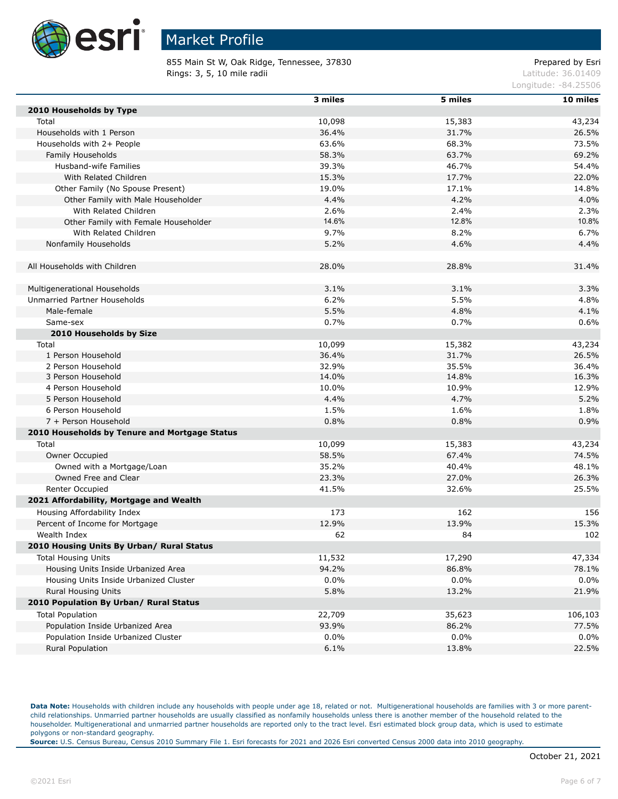

855 Main St W, Oak Ridge, Tennessee, 37830 extending the prepared by Esri **Rings: 3, 5, 10 mile radii**  $\blacksquare$  **Rings: 3, 5, 10 mile radii**  $\blacksquare$ 

Longitude: -84.25506

|                                               | 3 miles | 5 miles | 10 miles |
|-----------------------------------------------|---------|---------|----------|
| 2010 Households by Type                       |         |         |          |
| Total                                         | 10,098  | 15,383  | 43,234   |
| Households with 1 Person                      | 36.4%   | 31.7%   | 26.5%    |
| Households with 2+ People                     | 63.6%   | 68.3%   | 73.5%    |
| Family Households                             | 58.3%   | 63.7%   | 69.2%    |
| Husband-wife Families                         | 39.3%   | 46.7%   | 54.4%    |
| With Related Children                         | 15.3%   | 17.7%   | 22.0%    |
| Other Family (No Spouse Present)              | 19.0%   | 17.1%   | 14.8%    |
| Other Family with Male Householder            | 4.4%    | 4.2%    | 4.0%     |
| With Related Children                         | 2.6%    | 2.4%    | 2.3%     |
| Other Family with Female Householder          | 14.6%   | 12.8%   | 10.8%    |
| With Related Children                         | 9.7%    | 8.2%    | 6.7%     |
| Nonfamily Households                          | 5.2%    | 4.6%    | 4.4%     |
|                                               |         |         |          |
| All Households with Children                  | 28.0%   | 28.8%   | 31.4%    |
|                                               |         |         |          |
| Multigenerational Households                  | 3.1%    | 3.1%    | 3.3%     |
| Unmarried Partner Households                  | 6.2%    | 5.5%    | 4.8%     |
| Male-female                                   | 5.5%    | 4.8%    | 4.1%     |
| Same-sex                                      | 0.7%    | 0.7%    | 0.6%     |
| 2010 Households by Size                       |         |         |          |
| Total                                         | 10,099  | 15,382  | 43,234   |
| 1 Person Household                            | 36.4%   | 31.7%   | 26.5%    |
| 2 Person Household                            | 32.9%   | 35.5%   | 36.4%    |
| 3 Person Household                            | 14.0%   | 14.8%   | 16.3%    |
| 4 Person Household                            | 10.0%   | 10.9%   | 12.9%    |
| 5 Person Household                            | 4.4%    | 4.7%    | 5.2%     |
| 6 Person Household                            | 1.5%    | 1.6%    | 1.8%     |
| 7 + Person Household                          | 0.8%    | 0.8%    | 0.9%     |
| 2010 Households by Tenure and Mortgage Status |         |         |          |
| Total                                         | 10,099  | 15,383  | 43,234   |
| Owner Occupied                                | 58.5%   | 67.4%   | 74.5%    |
| Owned with a Mortgage/Loan                    | 35.2%   | 40.4%   | 48.1%    |
| Owned Free and Clear                          | 23.3%   | 27.0%   | 26.3%    |
| Renter Occupied                               | 41.5%   | 32.6%   | 25.5%    |
| 2021 Affordability, Mortgage and Wealth       |         |         |          |
| Housing Affordability Index                   | 173     | 162     | 156      |
| Percent of Income for Mortgage                | 12.9%   | 13.9%   | 15.3%    |
| Wealth Index                                  | 62      | 84      | 102      |
| 2010 Housing Units By Urban/ Rural Status     |         |         |          |
| <b>Total Housing Units</b>                    | 11,532  | 17,290  | 47,334   |
| Housing Units Inside Urbanized Area           | 94.2%   | 86.8%   | 78.1%    |
| Housing Units Inside Urbanized Cluster        | $0.0\%$ | $0.0\%$ | 0.0%     |
| Rural Housing Units                           | 5.8%    | 13.2%   | 21.9%    |
| 2010 Population By Urban/ Rural Status        |         |         |          |
| <b>Total Population</b>                       | 22,709  | 35,623  | 106,103  |
| Population Inside Urbanized Area              | 93.9%   | 86.2%   | 77.5%    |
| Population Inside Urbanized Cluster           | $0.0\%$ | $0.0\%$ | 0.0%     |
| Rural Population                              | 6.1%    | 13.8%   | 22.5%    |
|                                               |         |         |          |

Data Note: Households with children include any households with people under age 18, related or not. Multigenerational households are families with 3 or more parentchild relationships. Unmarried partner households are usually classified as nonfamily households unless there is another member of the household related to the householder. Multigenerational and unmarried partner households are reported only to the tract level. Esri estimated block group data, which is used to estimate polygons or non-standard geography.